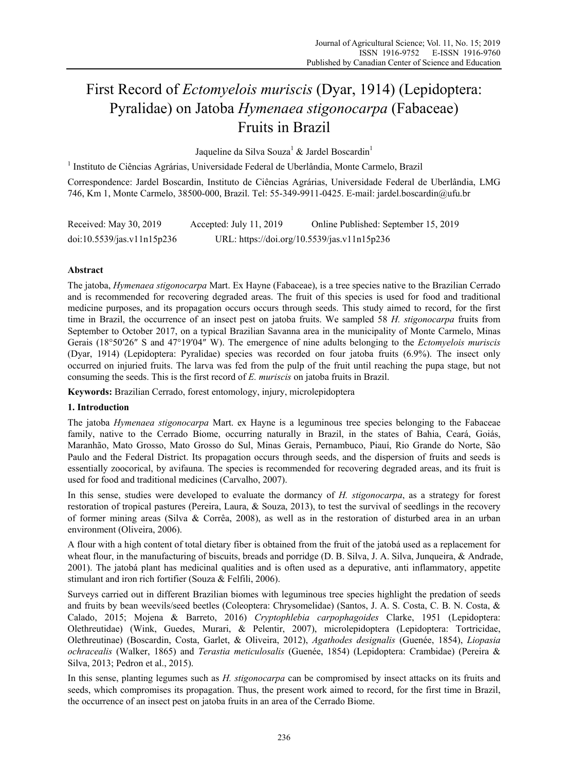# First Record of *Ectomyelois muriscis* (Dyar, 1914) (Lepidoptera: Pyralidae) on Jatoba *Hymenaea stigonocarpa* (Fabaceae) Fruits in Brazil

Jaqueline da Silva Souza $^1$  & Jardel Boscardin $^1$ 

<sup>1</sup> Instituto de Ciências Agrárias, Universidade Federal de Uberlândia, Monte Carmelo, Brazil

Correspondence: Jardel Boscardin, Instituto de Ciências Agrárias, Universidade Federal de Uberlândia, LMG 746, Km 1, Monte Carmelo, 38500-000, Brazil. Tel: 55-349-9911-0425. E-mail: jardel.boscardin@ufu.br

| Received: May 30, 2019     | Accepted: July 11, 2019                     | Online Published: September 15, 2019 |
|----------------------------|---------------------------------------------|--------------------------------------|
| doi:10.5539/jas.v11n15p236 | URL: https://doi.org/10.5539/jas.v11n15p236 |                                      |

## **Abstract**

The jatoba, *Hymenaea stigonocarpa* Mart. Ex Hayne (Fabaceae), is a tree species native to the Brazilian Cerrado and is recommended for recovering degraded areas. The fruit of this species is used for food and traditional medicine purposes, and its propagation occurs occurs through seeds. This study aimed to record, for the first time in Brazil, the occurrence of an insect pest on jatoba fruits. We sampled 58 *H. stigonocarpa* fruits from September to October 2017, on a typical Brazilian Savanna area in the municipality of Monte Carmelo, Minas Gerais (18°50′26″ S and 47°19′04″ W). The emergence of nine adults belonging to the *Ectomyelois muriscis* (Dyar, 1914) (Lepidoptera: Pyralidae) species was recorded on four jatoba fruits (6.9%). The insect only occurred on injuried fruits. The larva was fed from the pulp of the fruit until reaching the pupa stage, but not consuming the seeds. This is the first record of *E. muriscis* on jatoba fruits in Brazil.

**Keywords:** Brazilian Cerrado, forest entomology, injury, microlepidoptera

### **1. Introduction**

The jatoba *Hymenaea stigonocarpa* Mart. ex Hayne is a leguminous tree species belonging to the Fabaceae family, native to the Cerrado Biome, occurring naturally in Brazil, in the states of Bahia, Ceará, Goiás, Maranhão, Mato Grosso, Mato Grosso do Sul, Minas Gerais, Pernambuco, Piauí, Rio Grande do Norte, São Paulo and the Federal District. Its propagation occurs through seeds, and the dispersion of fruits and seeds is essentially zoocorical, by avifauna. The species is recommended for recovering degraded areas, and its fruit is used for food and traditional medicines (Carvalho, 2007).

In this sense, studies were developed to evaluate the dormancy of *H. stigonocarpa*, as a strategy for forest restoration of tropical pastures (Pereira, Laura, & Souza, 2013), to test the survival of seedlings in the recovery of former mining areas (Silva & Corrêa, 2008), as well as in the restoration of disturbed area in an urban environment (Oliveira, 2006).

A flour with a high content of total dietary fiber is obtained from the fruit of the jatobá used as a replacement for wheat flour, in the manufacturing of biscuits, breads and porridge (D. B. Silva, J. A. Silva, Junqueira, & Andrade, 2001). The jatobá plant has medicinal qualities and is often used as a depurative, anti inflammatory, appetite stimulant and iron rich fortifier (Souza & Felfili, 2006).

Surveys carried out in different Brazilian biomes with leguminous tree species highlight the predation of seeds and fruits by bean weevils/seed beetles (Coleoptera: Chrysomelidae) (Santos, J. A. S. Costa, C. B. N. Costa, & Calado, 2015; Mojena & Barreto, 2016) *Cryptophlebia carpophagoides* Clarke, 1951 (Lepidoptera: Olethreutidae) (Wink, Guedes, Murari, & Pelentir, 2007), microlepidoptera (Lepidoptera: Tortricidae, Olethreutinae) (Boscardin, Costa, Garlet, & Oliveira, 2012), *Agathodes designalis* (Guenée, 1854), *Liopasia ochracealis* (Walker, 1865) and *Terastia meticulosalis* (Guenée, 1854) (Lepidoptera: Crambidae) (Pereira & Silva, 2013; Pedron et al., 2015).

In this sense, planting legumes such as *H. stigonocarpa* can be compromised by insect attacks on its fruits and seeds, which compromises its propagation. Thus, the present work aimed to record, for the first time in Brazil, the occurrence of an insect pest on jatoba fruits in an area of the Cerrado Biome.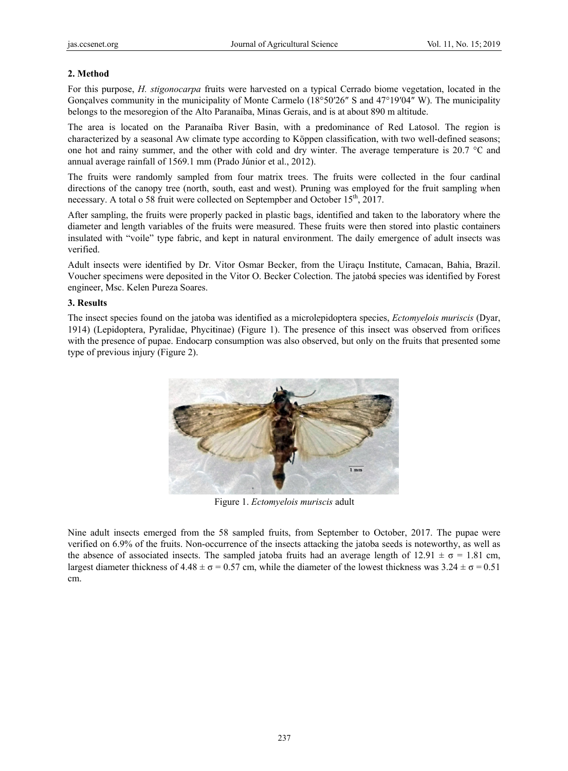## **2. Method d**

For this purpose, *H. stigonocarpa* fruits were harvested on a typical Cerrado biome vegetation, located in the Gonçalves community in the municipality of Monte Carmelo  $(18^{\circ}50'26'' S$  and  $47^{\circ}19'04'' W)$ . The municipality belongs to the mesoregion of the Alto Paranaíba, Minas Gerais, and is at about 890 m altitude.

The area is located on the Paranaíba River Basin, with a predominance of Red Latosol. The region is characterized by a seasonal Aw climate type according to Köppen classification, with two well-defined seasons; one hot and rainy summer, and the other with cold and dry winter. The average temperature is  $20.7 \degree$ C and annual average rainfall of 1569.1 mm (Prado Júnior et al., 2012).

The fruits were randomly sampled from four matrix trees. The fruits were collected in the four cardinal directions of the canopy tree (north, south, east and west). Pruning was employed for the fruit sampling when necessary. A total o 58 fruit were collected on Septempber and October 15<sup>th</sup>, 2017.

After sampling, the fruits were properly packed in plastic bags, identified and taken to the laboratory where the diameter and length variables of the fruits were measured. These fruits were then stored into plastic containers insulated with "voile" type fabric, and kept in natural environment. The daily emergence of adult insects was verified.

Adult insects were identified by Dr. Vitor Osmar Becker, from the Uiraçu Institute, Camacan, Bahia, Brazil. Voucher specimens were deposited in the Vitor O. Becker Colection. The jatobá species was identified by Forest engineer, Msc. Kelen Pureza Soares.

## **3. Results**

The insect species found on the jatoba was identified as a microlepidoptera species, *Ectomyelois muriscis* (Dyar, 1914) (Lepidoptera, Pyralidae, Phycitinae) (Figure 1). The presence of this insect was observed from orifices with the presence of pupae. Endocarp consumption was also observed, but only on the fruits that presented some type of previous injury (Figure 2).



Figure 1. *Ectomyelois muriscis* adult

Nine adult insects emerged from the 58 sampled fruits, from September to October, 2017. The pupae were verified on 6.9% of the fruits. Non-occurrence of the insects attacking the jatoba seeds is noteworthy, as well as the absence of associated insects. The sampled jatoba fruits had an average length of  $12.91 \pm \sigma = 1.81$  cm, largest diameter thickness of  $4.48 \pm \sigma = 0.57$  cm, while the diameter of the lowest thickness was  $3.24 \pm \sigma = 0.51$ cm.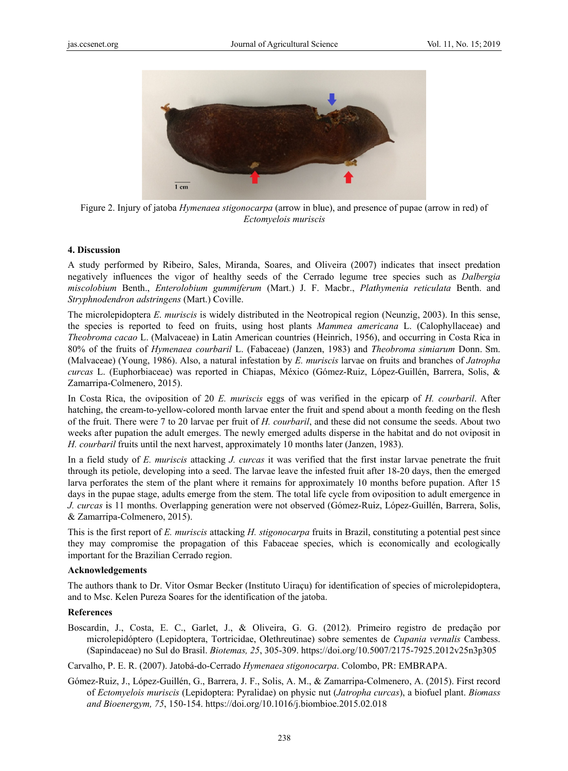

Figure 2. Injury of jatoba *Hymenaea stigonocarpa* (arrow in blue), and presence of pupae (arrow in red) of Ectomyelois muriscis

#### 4. Discussion

A study performed by Ribeiro, Sales, Miranda, Soares, and Oliveira (2007) indicates that insect predation negatively influences the vigor of healthy seeds of the Cerrado legume tree species such as *Dalbergia* miscolobium Benth., Enterolobium gummiferum (Mart.) J. F. Macbr., Plathymenia reticulata Benth. and Stryphnodendron adstringens (Mart.) Coville.

The microlepidoptera E. muriscis is widely distributed in the Neotropical region (Neunzig, 2003). In this sense, the species is reported to feed on fruits, using host plants *Mammea americana* L. (Calophyllaceae) and Theobroma cacao L. (Malvaceae) in Latin American countries (Heinrich, 1956), and occurring in Costa Rica in 80% of the fruits of *Hymenaea courbaril* L. (Fabaceae) (Janzen, 1983) and *Theobroma simiarum* Donn. Sm. (Malvaceae) (Young, 1986). Also, a natural infestation by E. muriscis larvae on fruits and branches of Jatropha curcas L. (Euphorbiaceae) was reported in Chiapas, México (Gómez-Ruiz, López-Guillén, Barrera, Solis, & Zamarripa-Colmenero, 2015).

In Costa Rica, the oviposition of 20 E. muriscis eggs of was verified in the epicarp of H. courbaril. After hatching, the cream-to-yellow-colored month larvae enter the fruit and spend about a month feeding on the flesh of the fruit. There were 7 to 20 larvae per fruit of H. courbaril, and these did not consume the seeds. About two weeks after pupation the adult emerges. The newly emerged adults disperse in the habitat and do not oviposit in *H. courbaril* fruits until the next harvest, approximately 10 months later (Janzen, 1983).

In a field study of E. muriscis attacking J. curcas it was verified that the first instar larvae penetrate the fruit through its petiole, developing into a seed. The larvae leave the infested fruit after 18-20 days, then the emerged larva perforates the stem of the plant where it remains for approximately 10 months before pupation. After 15 days in the pupae stage, adults emerge from the stem. The total life cycle from oviposition to adult emergence in J. curcas is 11 months. Overlapping generation were not observed (Gómez-Ruiz, López-Guillén, Barrera, Solis, & Zamarripa-Colmenero, 2015).

This is the first report of E. muriscis attacking H. stigonocarpa fruits in Brazil, constituting a potential pest since they may compromise the propagation of this Fabaceae species, which is economically and ecologically important for the Brazilian Cerrado region.

#### Acknowledgements

The authors thank to Dr. Vitor Osmar Becker (Instituto Uiracu) for identification of species of microlepidoptera, and to Msc. Kelen Pureza Soares for the identification of the jatoba.

#### **References**

Boscardin, J., Costa, E. C., Garlet, J., & Oliveira, G. G. (2012). Primeiro registro de predação por microlepidóptero (Lepidoptera, Tortricidae, Olethreutinae) sobre sementes de Cupania vernalis Cambess. (Sapindaceae) no Sul do Brasil. Biotemas, 25, 305-309. https://doi.org/10.5007/2175-7925.2012v25n3p305

Carvalho, P. E. R. (2007). Jatobá-do-Cerrado Hymenaea stigonocarpa. Colombo, PR: EMBRAPA.

Gómez-Ruiz, J., López-Guillén, G., Barrera, J. F., Solis, A. M., & Zamarripa-Colmenero, A. (2015). First record of Ectomyelois muriscis (Lepidoptera: Pyralidae) on physic nut (Jatropha curcas), a biofuel plant. Biomass and Bioenergym, 75, 150-154. https://doi.org/10.1016/j.biombioe.2015.02.018